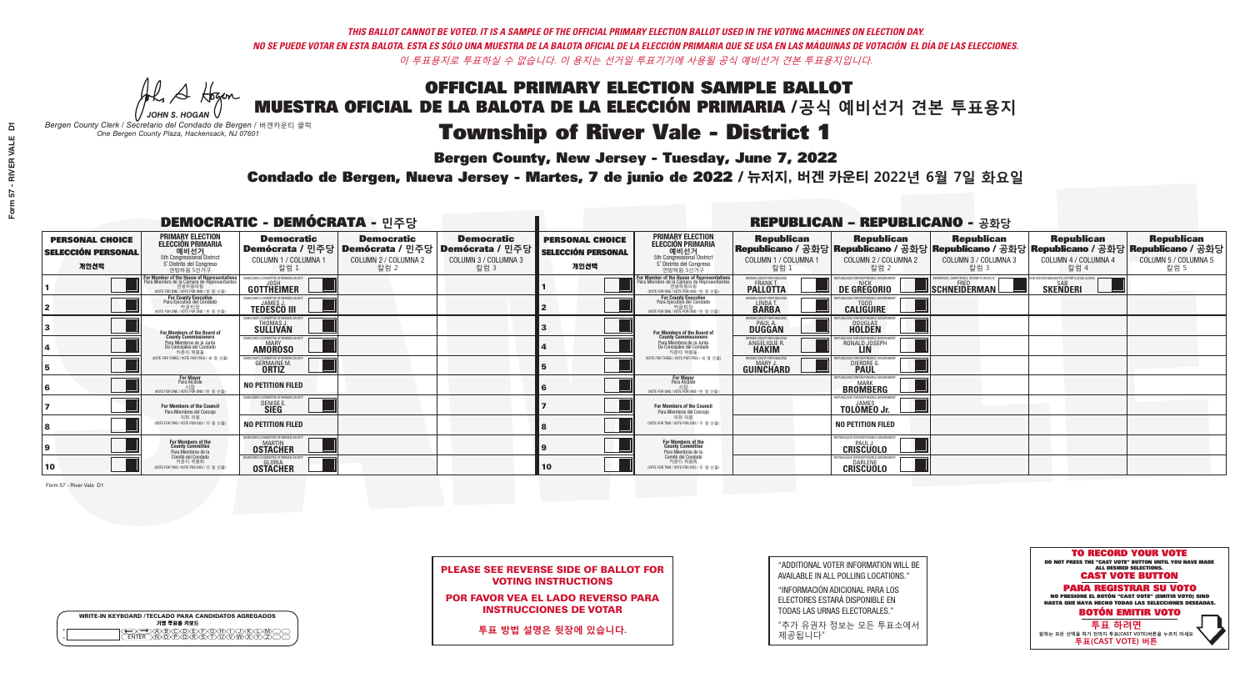**Bergen County, New Jersey - Tuesday, June 7, 2022** 

A Hogan *JOHN S. HOGAN*

| <b>WRITE-IN KEYBOARD /TECLADO PARA CANDIDATOS AGREGADOS</b><br>기명 투표용 키보드 |  |
|---------------------------------------------------------------------------|--|
| )B)C)D)E)(F)(G)(H)(<br><u> VEVEVEVE</u>                                   |  |

*Bergen County Clerk / Secretario del Condado de Bergen /* 버겐카운티 클럭 *One Bergen County Plaza, Hackensack, NJ 07601*

Condado de Bergen, Nueva Jersey - Martes, 7 de junio de 2022 / 뉴저지, 버겐 카운티 2022년 6월 7일 화요일 *One Bergen County Plaza, Hackensack, NJ 07601*



| <b>PLEASE SEE REVERSE SIDE OF BALLOT FOR</b> |
|----------------------------------------------|
| <b>VOTING INSTRUCTIONS</b>                   |

POR FAVOR VEA EL LADO REVERSO PARA INSTRUCCIONES DE VOTAR

**투표 방법 설명은 뒷장에 있습니다.**

| "ADDITIONAL VOTER INFORMATION WILL BE |
|---------------------------------------|
| AVAILABLE IN ALL POLLING LOCATIONS."  |

"INFORMACIÓN ADICIONAL PARA LOS ELECTORES ESTARÁ DISPONIBLE EN TODAS LAS URNAS ELECTORALES."

"추가 유권자 정보는 모든 투표소에서 제공됩니다"

|                                                             |                                                                                                                                               |                                                                    |                                                                                                        | <b>REPUBLICAN - REPUBLICANO - 공화당</b>             |                                                             |                                                                                                                                                     |                                                            |                                                              |                                                                                                                                                |                                                             |                                                   |
|-------------------------------------------------------------|-----------------------------------------------------------------------------------------------------------------------------------------------|--------------------------------------------------------------------|--------------------------------------------------------------------------------------------------------|---------------------------------------------------|-------------------------------------------------------------|-----------------------------------------------------------------------------------------------------------------------------------------------------|------------------------------------------------------------|--------------------------------------------------------------|------------------------------------------------------------------------------------------------------------------------------------------------|-------------------------------------------------------------|---------------------------------------------------|
| <b>PERSONAL CHOICE</b><br><b>SELECCIÓN PERSONAL</b><br>개인선택 | <b>PRIMARY ELECTION</b><br><b>ELECCIÓN PRIMARIA</b><br>예비선거<br><sup>5th</sup> Congressional District<br>5° Distrito del Congreso<br>연방하원 5선거구 | <b>Democratic</b><br>COLUMN 1 / COLUMNA 1<br>칼럼 1                  | <b>Democratic</b><br>│Demócrata / 민주당│Demócrata / 민주당│Demócrata / 민주당│<br>COLUMN 2 / COLUMNA 2<br>칼럼 2 | <b>Democratic</b><br>COLUMN 3 / COLUMNA 3<br>칼럼 3 | <b>PERSONAL CHOICE</b><br><b>SELECCIÓN PERSONAL</b><br>개인선택 | <b>PRIMARY ELECTION</b><br>ELECCIÓN PRIMARIA<br>5th Congressional District<br>5° Distrito del Congreso<br>연방하원 5선거구                                 | <b>Republican</b><br>COLUMN 1 / COLUMNA 1<br>칼럼            | <b>Republican</b><br>COLUMN 2 / COLUMNA 2<br>칼럼 2            | <b>Republican</b><br>Republicano / 공화당 Republicano / 공화당 Republicano / 공화당 Republicano / 공화당 Republicano / 공화당<br>COLUMN 3 / COLUMNA 3<br>칼럼 3 | <b>Republican</b><br>COLUMN 4 / COLUMNA 4<br>칼럼 4           | <b>Republican</b><br>COLUMN 5 / COLUMNA 5<br>칼럼 5 |
|                                                             | or Member of the House of Representatives<br>'ara Miembro de la Cámara de Representantes<br>연방하원의원<br>(VOTE FOR ONE / VOTE POR UNO / 한 명 선출)  | OMMITTEE OF BERGEN COUN'<br>GOTTHEIMER                             |                                                                                                        |                                                   |                                                             | <b>For Member of the House of Representatives<br/>Para Miembro de la Cámara de Representantes</b><br>겨방하워의워<br>NOTE FOR ONE / VOTE POR UNO / 한 명 선출 | BERGEN COUNTY REPUBLICANS<br><b>PALLOTTA</b>               | DE GREGORIO                                                  | (PERIENCE, COMPETENCE, INTEGRITY, RESULTS<br>$\blacksquare$ SCHNEIDERMAN                                                                       | VACCINE MANDATES, DEPORT ILLEGAL ALIENS.<br><b>SKENDERI</b> |                                                   |
|                                                             | For County Executive<br>Para Ejecutivo del Condado<br>7 카운티장<br>(VOTE FOR ONE / VOTE POR UNO / 한 명 선출)                                        | <b>TEDESCO III</b>                                                 |                                                                                                        |                                                   |                                                             | For County Executive<br>Para Ejecutivo del Condado<br>7) 카운티장<br>(VOTE FOR ONE / VOTE POR UNO / 한 명 선출)                                             | BERGEN COUNTY REPUBLICAN<br>LINDA T.                       | <b>CALIGUIRE</b>                                             |                                                                                                                                                |                                                             |                                                   |
|                                                             | For Members of the Board of<br>County Commissioners                                                                                           | <b>IMOCRATIC COMMITTEE OF BERGEN COUNTY</b><br>THOMAS J.           |                                                                                                        |                                                   |                                                             | For Members of the Board of<br>County Commissioners                                                                                                 | ERGEN COUNTY REPUBLICAN<br><b>PAUL A.</b><br><b>DUGGAN</b> | <b>DOUGLAS</b>                                               |                                                                                                                                                |                                                             |                                                   |
|                                                             | Para Miembros de la Junta<br>De Concejales del Condado<br>카운티 위원들                                                                             | MOCRATIC COMMITTEE OF BEBGEN COUNTY<br><b>AMOROSO</b>              |                                                                                                        |                                                   |                                                             | Para Miembros de la Junta<br>De Concejales del Condado<br>카운티 위원들                                                                                   | ERGEN COUNTY REPUBLICAN<br>ANGELIQUE F<br><b>HAKIM</b>     | RONALD JOSEPH<br><b>LIN</b>                                  |                                                                                                                                                |                                                             |                                                   |
|                                                             | (VOTE FOR THREE / VOTE POR TRES / 세 명 선출)                                                                                                     | RATIC COMMITTEE OF BERGEN CI<br><b>GERMAINE M.</b><br><b>ORTIZ</b> |                                                                                                        |                                                   |                                                             | (VOTE FOR THREE / VOTE POR TRES / 세 명 선출)                                                                                                           | ERGEN COUNTY REPUBLICAN<br>MARY J<br><b>GUINCHARD</b>      | DIERDRE (                                                    |                                                                                                                                                |                                                             |                                                   |
|                                                             | <b>For Mayor</b><br>Para Alcalde<br>시장<br>(VOTE FOR ONE / VOTE POR UNO / 한 명 선출)                                                              | NO PETITION FILED                                                  |                                                                                                        |                                                   |                                                             | <b>For Mayor</b><br>Para Alcalde<br>NOTE FOR ONE / VOTE POR UNO / 한 명 선출)                                                                           |                                                            | UBLICANS FOR RESPONSIBLE GOVERNMEI<br><b>BROMBERG</b>        |                                                                                                                                                |                                                             |                                                   |
|                                                             | For Members of the Council<br>Para Miembros del Conceio                                                                                       | IMOCRATIC COMMITTEE OF BERGEN COUNTY<br>DENISE E                   |                                                                                                        |                                                   |                                                             | For Members of the Council<br>Para Miembros del Concejo                                                                                             |                                                            | PURLICANS FOR RESPONSIRLE GOVERNME<br><b>TOLOMES</b> Jr.     |                                                                                                                                                |                                                             |                                                   |
|                                                             | 의회 의워<br>(VOTE FOR TWO / VOTE POR DOS / 두 명 선출)                                                                                               | <b>NO PETITION FILED</b>                                           |                                                                                                        |                                                   |                                                             | 이히 이워<br>NOTE FOR TWO / VOTE POR DOS / 두 명 선출)                                                                                                      |                                                            | <b>NO PETITION FILED</b>                                     |                                                                                                                                                |                                                             |                                                   |
|                                                             | For Members of the<br>County Committee<br>Para Miembros de la                                                                                 | MOCRATIC COMMITTEE OF BERGEN COUNTY<br><b>OSTACHER</b>             |                                                                                                        |                                                   |                                                             | For Members of the<br>County Committee<br>Para Miembros de la                                                                                       |                                                            | EPUBLICANS FOR RESPONSIBLE GOVERNMENT<br><b>CRISCUOLO</b>    |                                                                                                                                                |                                                             |                                                   |
| 10                                                          | Comité del Condado<br>카운티 위원회<br>(VOTE FOR TWO / VOTE POR DOS / 두 명 선출)                                                                       | <b>OSTACHER</b>                                                    |                                                                                                        |                                                   | $ 10\rangle$                                                | Comité del Condado<br>카운티 위원회<br>(VOTE FOR TWO / VOTE POR DOS / 두 명 선출)                                                                             |                                                            | EPUBLICANS FOR RESPONSIBLE GOVERNMEN<br>DARLENE<br>CRISCUOLO |                                                                                                                                                |                                                             |                                                   |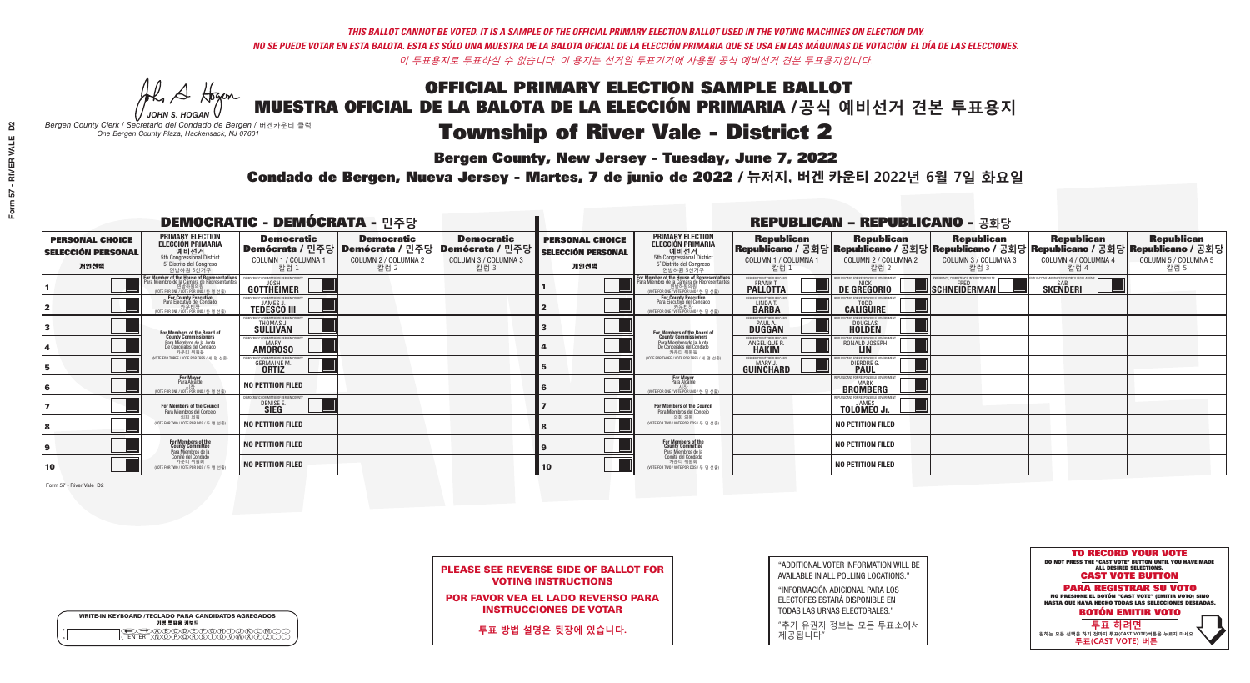**Bergen County, New Jersey - Tuesday, June 7, 2022** 

A Hogan *JOHN S. HOGAN*

| <b>WRITE-IN KEYBOARD /TECLADO PARA CANDIDATOS AGREGADOS</b><br>기명 투표용 키보드 |
|---------------------------------------------------------------------------|
| >@®©®®®®®®©®®<br>`\N\@®@@@\$\D\@\@X                                       |

*Bergen County Clerk / Secretario del Condado de Bergen /* 버겐카운티 클럭 *One Bergen County Plaza, Hackensack, NJ 07601*



PLEASE SEE REVERSE SIDE OF BALLOT FOR VOTING INSTRUCTIONS

POR FAVOR VEA EL LADO REVERSO PARA INSTRUCCIONES DE VOTAR

**투표 방법 설명은 뒷장에 있습니다.**

| "ADDITIONAL VOTER INFORMATION WILL BE |
|---------------------------------------|
| AVAILABLE IN ALL POLLING LOCATIONS."  |

"INFORMACIÓN ADICIONAL PARA LOS ELECTORES ESTARÁ DISPONIBLE EN TODAS LAS URNAS ELECTORALES."

"추가 유권자 정보는 모든 투표소에서 제공됩니다"

Condado de Bergen, Nueva Jersey - Martes, 7 de junio de 2022 / 뉴저지, 버겐 카운티 2022년 6월 7일 화요일 *One Bergen County Plaza, Hackensack, NJ 07601*

| <b>DEMOCRATIC - DEMÓCRATA - 민주당</b>                         |                                                                                                                                                      |                                                                    |                                                                                                        |                                                   |                                                             |                                                                                                                                    |                                                            | <b>REPUBLICAN - REPUBLICANO - 공화당</b>                   |                                                                                                                                                 |                                                   |                                                   |
|-------------------------------------------------------------|------------------------------------------------------------------------------------------------------------------------------------------------------|--------------------------------------------------------------------|--------------------------------------------------------------------------------------------------------|---------------------------------------------------|-------------------------------------------------------------|------------------------------------------------------------------------------------------------------------------------------------|------------------------------------------------------------|---------------------------------------------------------|-------------------------------------------------------------------------------------------------------------------------------------------------|---------------------------------------------------|---------------------------------------------------|
| <b>PERSONAL CHOICE</b><br><b>SELECCIÓN PERSONAL</b><br>개인선택 | <b>PRIMARY ELECTION</b><br>ELECCIÓN PRIMARIA<br>예비선거<br><sub>5th Congressional District</sub><br>5° Distrito del Congreso<br>연방하원 5선거구               | <b>Democratic</b><br>COLUMN 1 / COLUMNA 1<br>칼럼 1                  | <b>Democratic</b><br>│Demócrata / 민주당│Demócrata / 민주당│Demócrata / 민주당│<br>COLUMN 2 / COLUMNA 2<br>칼럼 2 | <b>Democratic</b><br>COLUMN 3 / COLUMNA 3<br>칼럼 3 | <b>PERSONAL CHOICE</b><br><b>SELECCIÓN PERSONAL</b><br>개인선택 | <b>PRIMARY ELECTION</b><br>ELECCIÓN PRIMARIA<br>5th Congressional District<br>5° Distrito del Congreso<br>연방하원 5선거구                | <b>Republican</b><br>COLUMN 1 / COLUMNA 1<br>칼럼 :          | <b>Republican</b><br>COLUMN 2 / COLUMNA 2<br>칼럼 2       | <b>Republican</b><br>│Republicano / 공화당│Republicano / 공화당│Republicano / 공화당│Republicano / 공화당│Republicano / 공화당<br>COLUMN 3 / COLUMNA 3<br>칼럼 3 | <b>Republican</b><br>COLUMN 4 / COLUMNA 4<br>칼럼 4 | <b>Republican</b><br>COLUMN 5 / COLUMNA 5<br>칼럼 5 |
|                                                             | F <b>or Member of the House of Representatives</b><br>Para Miembro de la Cámara de Representantes<br>연방하원의원<br>(VOTE FOR ONE / VOTE POR UNO / 한 명 선출 | DEMOCRATIC COMMITTEE OF BERGEN COUNTY<br>JOSH<br>GOTTHEIMER        |                                                                                                        |                                                   |                                                             | For Member of the House of Representatives<br>Para Miembro de la Cámara de Representantes<br>(VOTE FOR ONE / VOTE POR UNO / 한 명 선출 | BERGEN COUNTY REPUBLICANS<br>FRANK T.<br><b>PALLOTTA</b>   | DE GREGORIO                                             | EXPERIENCE, COMPETENCE, INTEGRITY, RESULTS<br>SCHNEIDERMAN                                                                                      | END VACCINE MANDATES, DEPORT ILLEGAL ALIENS.      |                                                   |
|                                                             | For County Executive<br>Para Ejecutivo del Condado<br>(VOTE FOR ONE / VOTE POR UNO / 한 명 선출)                                                         | <b>JEMOCRATIC COMMITTEE OF BERGEN COUNTY</b><br><b>TEDESCO III</b> |                                                                                                        |                                                   |                                                             | For County Executive<br>Para Ejecutivo del Condado<br>WOTE FOR ONE / VOTE POR UNO / 한 명 선출                                         | BERGEN COUNTY REPUBLICAN<br>LINDA T.                       | <b>CALIGUIRE</b>                                        |                                                                                                                                                 |                                                   |                                                   |
|                                                             | For Members of the Board of<br>County Commissioners                                                                                                  | EMOCRATIC COMMITTEE OF BERGEN COUNT<br>THOMAS J.                   |                                                                                                        |                                                   |                                                             | For Members of the Board of<br>County Commissioners                                                                                | ERGEN COUNTY REPUBLICAN<br><b>PAUL A.</b><br><b>DUGGAN</b> | <b>DOUGLAS</b><br><b>HOLDEN</b>                         |                                                                                                                                                 |                                                   |                                                   |
|                                                             | Para Miembros de la Junta<br>De Concejales del Condado<br>카운티 위원들                                                                                    | <b>EMOCRATIC COMMITTEE OF BEBGEN COUNTY</b><br><b>AMOROSO</b>      |                                                                                                        |                                                   |                                                             | Para Miembros de la Junta<br>De Concejales del Condado<br>카운티 위원들                                                                  | ERGEN COUNTY REPUBLICAN<br><b>ANGELIQUE R<br/>HAKIM</b>    | RONALD JOSEPH<br><b>LIN</b>                             |                                                                                                                                                 |                                                   |                                                   |
|                                                             | (VOTE FOR THREE / VOTE POR TRES / 세 명 선출)                                                                                                            | <b>GERMAINE M.</b>                                                 |                                                                                                        |                                                   |                                                             | (VOTE FOR THREE / VOTE POR TRES / 세 명 선출)                                                                                          | ERGEN COUNTY REPUBLICANS<br>MARY J<br>GUINCHARD            | DIERDRE G                                               |                                                                                                                                                 |                                                   |                                                   |
| 16                                                          | For Mayor<br>Para Alcalde<br>시장<br>(VOTE FOR ONE / VOTE POR UNO / 한 명 선                                                                              | NO PETITION FILED                                                  |                                                                                                        |                                                   |                                                             | For Mayor<br>Para Alcalde<br>(VOTE FOR ONE / VOTE POR UNO / 한 명 선출                                                                 |                                                            | PUBLICANS FOR RESPONSIBLE GOVERNMENT<br><b>BROWBERG</b> |                                                                                                                                                 |                                                   |                                                   |
|                                                             | For Members of the Council<br>Para Miembros del Conceio                                                                                              | EMOCRATIC COMMITTEE OF BERGEN COUN'<br>DENISE E                    |                                                                                                        |                                                   |                                                             | For Members of the Council<br>Para Miembros del Concejo                                                                            |                                                            | <b>TOLOMEO Jr.</b>                                      |                                                                                                                                                 |                                                   |                                                   |
|                                                             | 의회 의원<br>(VOTE FOR TWO / VOTE POR DOS / 두 명 선출)                                                                                                      | NO PETITION FILED                                                  |                                                                                                        |                                                   |                                                             | 의회 의원<br>NOTE FOR TWO / VOTE POR DOS / 두 명 선출)                                                                                     |                                                            | <b>NO PETITION FILED</b>                                |                                                                                                                                                 |                                                   |                                                   |
|                                                             | For Members of the<br>County Committee<br>Para Miembros de la<br>Comité del Condado                                                                  | <b>NO PETITION FILED</b>                                           |                                                                                                        |                                                   |                                                             | For Members of the<br>County Committee<br>Para Miembros de la<br>Comité del Condado                                                |                                                            | <b>NO PETITION FILED</b>                                |                                                                                                                                                 |                                                   |                                                   |
| 10                                                          | 카운티 위원회<br>(VOTE FOR TWO / VOTE POR DOS / 두 명 선출)                                                                                                    | <b>NO PETITION FILED</b>                                           |                                                                                                        |                                                   | 10 <sup>°</sup>                                             | 카운티 위원회<br>(VOTE FOR TWO / VOTE POR DOS / 두 명 선출)                                                                                  |                                                            | <b>NO PETITION FILED</b>                                |                                                                                                                                                 |                                                   |                                                   |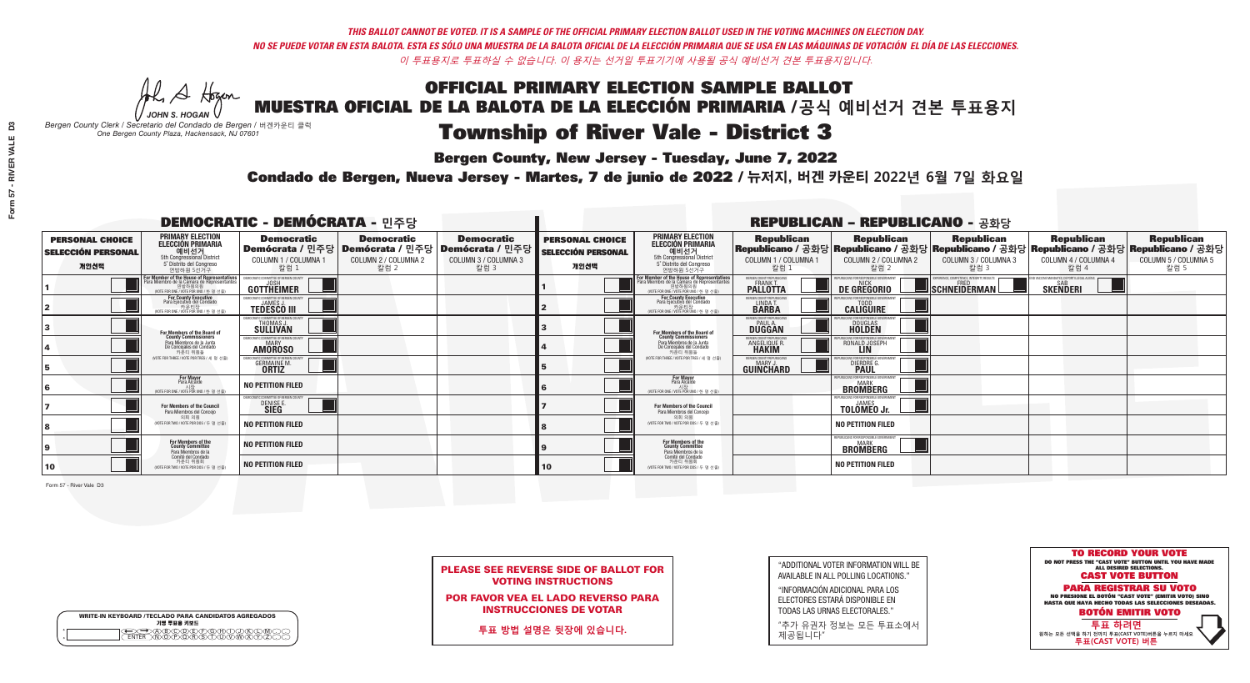**Bergen County, New Jersey - Tuesday, June 7, 2022** 

A Hogan *JOHN S. HOGAN*

| <b>WRITE-IN KEYBOARD /TECLADO PARA CANDIDATOS AGREGADOS</b><br>기명 투표용 키보드 |  |
|---------------------------------------------------------------------------|--|
| X <del>I</del> DA(B)C)(D)E)(F)(G)(H)(T)<br><u> አሸነቅ አማር አፈ</u>            |  |

| <b>PLEASE SEE REVERSE SIDE OF BALLOT FOR</b> |  |
|----------------------------------------------|--|
| <b>VOTING INSTRUCTIONS</b>                   |  |

*Bergen County Clerk / Secretario del Condado de Bergen /* 버겐카운티 클럭 *One Bergen County Plaza, Hackensack, NJ 07601*

Condado de Bergen, Nueva Jersey - Martes, 7 de junio de 2022 / 뉴저지, 버겐 카운티 2022년 6월 7일 화요일 *One Bergen County Plaza, Hackensack, NJ 07601*



POR FAVOR VEA EL LADO REVERSO PARA INSTRUCCIONES DE VOTAR

**투표 방법 설명은 뒷장에 있습니다.**

| "ADDITIONAL VOTER INFORMATION WILL BE |
|---------------------------------------|
| AVAILABLE IN ALL POLLING LOCATIONS."  |

"INFORMACIÓN ADICIONAL PARA LOS ELECTORES ESTARÁ DISPONIBLE EN TODAS LAS URNAS ELECTORALES."

"추가 유권자 정보는 모든 투표소에서 제공됩니다"

| <b>DEMOCRATIC - DEMÓCRATA - 민주당</b>                         |                                                                                                                                               |                                                                     |                                                                                                        |                                                   |                                                             |                                                                                                                                                       |                                                                | <b>REPUBLICAN - REPUBLICANO - 공화당</b>                         |                                                                                                                                                 |                                                   |                                                   |
|-------------------------------------------------------------|-----------------------------------------------------------------------------------------------------------------------------------------------|---------------------------------------------------------------------|--------------------------------------------------------------------------------------------------------|---------------------------------------------------|-------------------------------------------------------------|-------------------------------------------------------------------------------------------------------------------------------------------------------|----------------------------------------------------------------|---------------------------------------------------------------|-------------------------------------------------------------------------------------------------------------------------------------------------|---------------------------------------------------|---------------------------------------------------|
| <b>PERSONAL CHOICE</b><br><b>SELECCIÓN PERSONAL</b><br>개인선택 | <b>PRIMARY ELECTION</b><br>ELECCIÓN PRIMARIA<br>예비선거<br><sub>5th Congressional District</sub><br>5° Distrito del Congreso<br>연방하원 5선거구        | <b>Democratic</b><br>COLUMN 1 / COLUMNA 1<br>칼럼 :                   | <b>Democratic</b><br>│Demócrata / 민주당│Demócrata / 민주당│Demócrata / 민주당│<br>COLUMN 2 / COLUMNA 2<br>칼럼 2 | <b>Democratic</b><br>COLUMN 3 / COLUMNA 3<br>칼럼 3 | <b>PERSONAL CHOICE</b><br><b>SELECCIÓN PERSONAL</b><br>개인선택 | <b>PRIMARY ELECTION</b><br>ELECCIÓN PRIMARIA<br>5th Congressional District<br>5° Distrito del Congreso<br>연방하원 5선거구                                   | <b>Republican</b><br>COLUMN 1 / COLUMNA 1<br>칼럼                | <b>Republican</b><br>COLUMN 2 / COLUMNA 2<br>칼럼 2             | <b>Republican</b><br>│Republicano / 공화당│Republicano / 공화당│Republicano / 공화당│Republicano / 공화당│Republicano / 공화당<br>COLUMN 3 / COLUMNA 3<br>칼럼 3 | <b>Republican</b><br>COLUMN 4 / COLUMNA 4<br>칼럼 4 | <b>Republican</b><br>COLUMN 5 / COLUMNA 5<br>칼럼 5 |
|                                                             | For Member of the House of Representatives<br>Para Miembro de la Cámara de Representantes<br>연방하원의원<br>(VOTE FOR ONE / VOTE POR UNO / 한 명 선출) | GOTTHEIMER                                                          |                                                                                                        |                                                   |                                                             | .<br>F <mark>or Member of the House of Representatives</mark><br>Para Miembro de la Cámara de Representantes<br>NOTE FOR ONE / VOTE POR UNO / 한 명 선출) | ERGEN COUNTY REPUBLICANS<br><b>FRANK T.</b><br><b>PALLOTTA</b> | DE GREGORIO                                                   | SCHNEIDERMAN                                                                                                                                    | <b>SKENDERI</b>                                   |                                                   |
|                                                             | <b>For County Executive</b><br>Para Ejecutivo del Condado<br>(VOTE FOR ONE / VOTE POR UNO / 한 명 선출)                                           | DEMOCRATIC COMMITTEE OF RERGEN COUNTY<br><b>TEDESCO III</b>         |                                                                                                        |                                                   |                                                             | <b>For County Executive</b><br>Para Ejecutivo del Condado<br>. 카운티장<br>(VOTE FOR ONE / VOTE POR UNO / 한 명 선출)                                         | BERGEN COUNTY REPUBLICAN<br>LINDA T.                           | <b>CALIGUIRE</b>                                              |                                                                                                                                                 |                                                   |                                                   |
|                                                             | <b>For Members of the Board of<br/>County Commissioners</b>                                                                                   | MOCRATIC COMMITTEE OF BEBGEN COUN<br>THOMAS J.                      |                                                                                                        |                                                   |                                                             | For Members of the Board of<br>County Commissioners                                                                                                   | ERGEN COUNTY REPUBLICAN<br><b>PAUL A.</b><br><b>DUGGAN</b>     | <b>DOUGLAS</b>                                                |                                                                                                                                                 |                                                   |                                                   |
|                                                             | Para Miembros de la Junta<br>De Concejales del Condado<br>카우티 위원들                                                                             | MOCRATIC COMMITTEE OF RERGEN COUNTY<br><b>AMOROSO</b>               |                                                                                                        |                                                   |                                                             | Para Miembros de la Junta<br>De Concejales del Condado<br>카운티 위원들                                                                                     | ERGEN COUNTY REPUBLICAN<br><b>ANGELIQUE F</b><br><b>HAKIM</b>  | RONALD JOSEPH                                                 |                                                                                                                                                 |                                                   |                                                   |
|                                                             | NOTE FOR THREE / VOTE POR TRES / 세 명 선출)                                                                                                      | CRATIC COMMITTEE OF BERGEN CI<br><b>GERMAINE M.</b><br><b>ORTIZ</b> |                                                                                                        |                                                   |                                                             | (VOTE FOR THREE / VOTE POR TRES / 세 명 선출)                                                                                                             | ERGEN COUNTY REPUBLICANS<br>MARY.<br><b>GUINCHARD</b>          | <b>DIERDRE G</b><br><b>PAUL</b>                               |                                                                                                                                                 |                                                   |                                                   |
| 16                                                          | For Mayor<br>Para Alcalde<br>시장<br>(VOTE FOR ONE / VOTE POR UNO / 한 명 산                                                                       | NO PETITION FILED                                                   |                                                                                                        |                                                   |                                                             | <b>For Mayor</b><br>Para Alcalde<br>(VOTE FOR ONE / VOTE POR UNO / 한 명 ·                                                                              |                                                                | <b>UBLICANS FOR RESPONSIBLE GOVERNMENT</b><br><b>BROWBERG</b> |                                                                                                                                                 |                                                   |                                                   |
|                                                             | For Members of the Council<br>Para Miembros del Conceio                                                                                       | <b>EMOCRATIC COMMITTEE OF BERGEN COUNT</b><br>DENISE E              |                                                                                                        |                                                   |                                                             | For Members of the Council<br>Para Miembros del Conceio                                                                                               |                                                                | <b>TOLOMEO Jr.</b>                                            |                                                                                                                                                 |                                                   |                                                   |
|                                                             | 의회 의원<br>(VOTE FOR TWO / VOTE POR DOS / 두 명 선출)                                                                                               | <b>NO PETITION FILED</b>                                            |                                                                                                        |                                                   |                                                             | 의회 의원<br>NOTE FOR TWO / VOTE POR DOS / 두 명 선출)                                                                                                        |                                                                | <b>NO PETITION FILED</b>                                      |                                                                                                                                                 |                                                   |                                                   |
|                                                             | For Members of the<br>County Committee<br>Para Miembros de la                                                                                 | <b>NO PETITION FILED</b>                                            |                                                                                                        |                                                   |                                                             | For Members of the<br>County Committee<br>Para Miembros de la<br>Comité del Condado                                                                   |                                                                | EPUBLICANS FOR RESPONSIBLE GOVERNMENT<br>BROMBERG             |                                                                                                                                                 |                                                   |                                                   |
| 10                                                          | Comité del Condado<br>카운티 위원회<br>(VOTE FOR TWO / VOTE POR DOS / 두 명 선출)                                                                       | <b>NO PETITION FILED</b>                                            |                                                                                                        |                                                   | 10                                                          | 카운티 위원회<br>(VOTE FOR TWO / VOTE POR DOS / 두 명 선출)                                                                                                     |                                                                | <b>NO PETITION FILED</b>                                      |                                                                                                                                                 |                                                   |                                                   |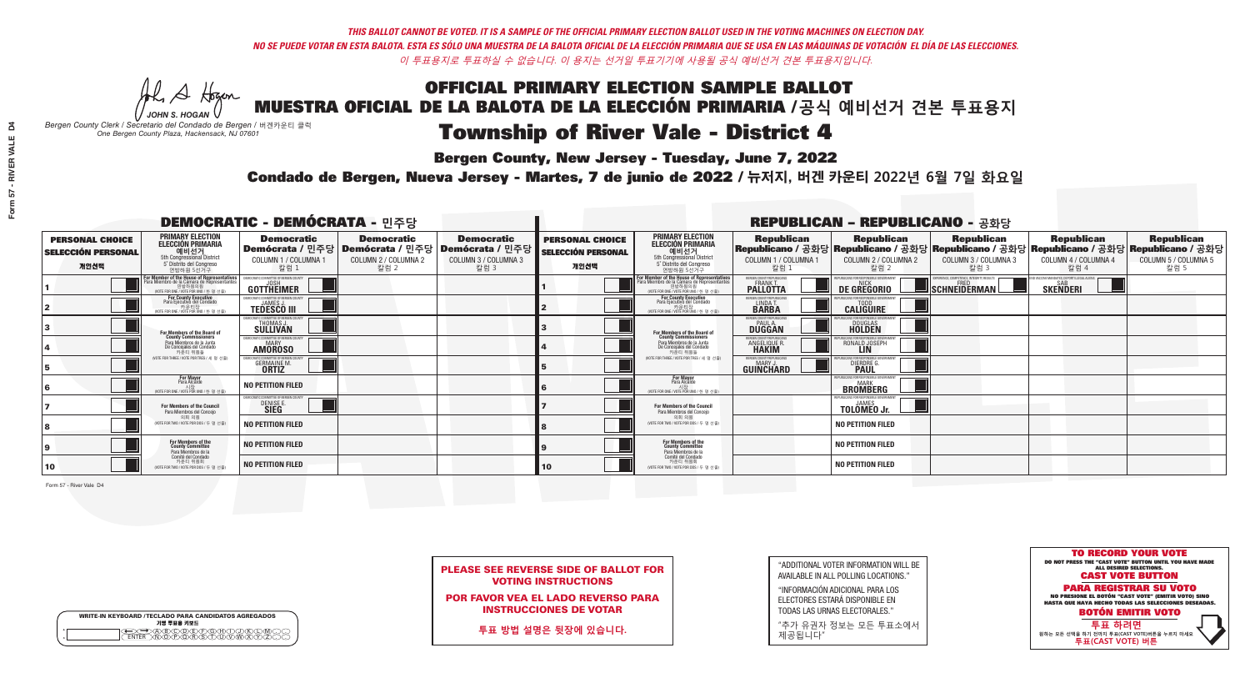A Hogan

| <b>WRITE-IN KEYBOARD /TECLADO PARA CANDIDATOS AGREGADOS</b><br>기명 투표용 키보드 |  |
|---------------------------------------------------------------------------|--|
| ABODE E G A DJ<br>NOPORSTUVNI                                             |  |

## OFFICIAL PRIMARY ELECTION SAMPLE BALLOT MUESTRA OFICIAL DE LA BALOTA DE LA ELECCIÓN PRIMARIA /**공식 예비선거 견본 투표용지**

# Township of River Vale - District 4

**Bergen County, New Jersey - Tuesday, June 7, 2022** 

*JOHN S. HOGAN Bergen County Clerk / Secretario del Condado de Bergen /* 버겐카운티 클럭 *One Bergen County Plaza, Hackensack, NJ 07601*



PLEASE SEE REVERSE SIDE OF BALLOT FOR VOTING INSTRUCTIONS

POR FAVOR VEA EL LADO REVERSO PARA INSTRUCCIONES DE VOTAR

**투표 방법 설명은 뒷장에 있습니다.**

| "ADDITIONAL VOTER INFORMATION WILL BE |
|---------------------------------------|
| AVAILABLE IN ALL POLLING LOCATIONS."  |

"INFORMACIÓN ADICIONAL PARA LOS ELECTORES ESTARÁ DISPONIBLE EN TODAS LAS URNAS ELECTORALES."

"추가 유권자 정보는 모든 투표소에서 제공됩니다"

Condado de Bergen, Nueva Jersey - Martes, 7 de junio de 2022 / 뉴저지, 버겐 카운티 2022년 6월 7일 화요일 *One Bergen County Plaza, Hackensack, NJ 07601*

| <b>DEMOCRATIC - DEMÓCRATA - 민주당</b>                         |                                                                                                                                                       |                                                                    |                                                                                                        | <b>REPUBLICAN - REPUBLICANO - 공화당</b>             |                                                             |                                                                                                                                               |                                                            |                                                        |                                                                                                                                                 |                                                               |                                                   |
|-------------------------------------------------------------|-------------------------------------------------------------------------------------------------------------------------------------------------------|--------------------------------------------------------------------|--------------------------------------------------------------------------------------------------------|---------------------------------------------------|-------------------------------------------------------------|-----------------------------------------------------------------------------------------------------------------------------------------------|------------------------------------------------------------|--------------------------------------------------------|-------------------------------------------------------------------------------------------------------------------------------------------------|---------------------------------------------------------------|---------------------------------------------------|
| <b>PERSONAL CHOICE</b><br><b>SELECCIÓN PERSONAL</b><br>개인선택 | <b>PRIMARY ELECTION</b><br>ELECCIÓN PRIMARIA<br>예비선거<br><sub>5th Congressional District</sub><br>5° Distrito del Congreso<br>연방하원 5선거구                | <b>Democratic</b><br>COLUMN 1 / COLUMNA 1<br>칼럼 1                  | <b>Democratic</b><br>│Demócrata / 민주당│Demócrata / 민주당│Demócrata / 민주당│<br>COLUMN 2 / COLUMNA 2<br>칼럼 2 | <b>Democratic</b><br>COLUMN 3 / COLUMNA 3<br>칼럼 3 | <b>PERSONAL CHOICE</b><br><b>SELECCIÓN PERSONAL</b><br>개인선택 | <b>PRIMARY ELECTION</b><br>ELECCIÓN PRIMARIA<br>5th Congressional District<br>5° Distrito del Congreso<br>연방하원 5선거구                           | <b>Republican</b><br>COLUMN 1 / COLUMNA 1<br>칼럼            | <b>Republican</b><br>COLUMN 2 / COLUMNA 2<br>칼럼 2      | <b>Republican</b><br>│Republicano / 공화당│Republicano / 공화당│Republicano / 공화당│Republicano / 공화당│Republicano / 공화당<br>COLUMN 3 / COLUMNA 3<br>칼럼 3 | <b>Republican</b><br>COLUMN 4 / COLUMNA 4<br>칼럼 4             | <b>Republican</b><br>COLUMN 5 / COLUMNA 5<br>칼럼 5 |
|                                                             | F <b>or Member of the House of Representatives</b><br>Para Miembro de la Cámara de Representantes<br>연방하원의원<br>(VOTE FOR ONE / VOTE POR UNO / 한 명 선출) | DEMOCRATIC COMMITTEE OF BERGEN COUNTY<br>GOTTHEIMER                |                                                                                                        |                                                   |                                                             | For Member of the House of Representatives<br>Para Miembro de la Cámara de Representantes<br>연방하원의원<br>(VOTE FOR ONE / VOTE POR UNO / 한 명 선출) | BERGEN COUNTY REPUBLICANS<br><b>PALLOTTA</b>               | DE GREGORIO                                            | EXPERIENCE, COMPETENCE, INTEGRITY, RESULTS<br>SCHNEIDERMAN                                                                                      | ND VACCINE MANDATES, DEPORT ILLEGAL AUENS.<br>SAB<br>SKENDERI |                                                   |
|                                                             | For County Executive<br>Para Ejecutivo del Condado<br>(VOTE FOR ONE / VOTE POR UNO / 한 명 선출)                                                          | <b>JEMOCRATIC COMMITTEE OF BERGEN COUNTY</b><br><b>TEDESCO III</b> |                                                                                                        |                                                   |                                                             | For County Executive<br>Para Ejecutivo del Condado<br>WOTE FOR ONE / VOTE POR UNO / 한 명 선출                                                    | BERGEN COUNTY REPUBLICAN<br>LINDA T.                       | <b>CALIGUIRE</b>                                       |                                                                                                                                                 |                                                               |                                                   |
|                                                             | For Members of the Board of<br>County Commissioners                                                                                                   | EMOCRATIC COMMITTEE OF BERGEN COUNT<br>THOMAS J.                   |                                                                                                        |                                                   |                                                             | For Members of the Board of<br>County Commissioners                                                                                           | ERGEN COUNTY REPUBLICAN<br><b>PAUL A.</b><br><b>DUGGAN</b> | <b>DOUGLAS</b><br><b>HOLDEN</b>                        |                                                                                                                                                 |                                                               |                                                   |
|                                                             | Para Miembros de la Junta<br>De Concejales del Condado<br>카운티 위원들                                                                                     | MOCRATIC COMMITTEE OF BERGEN COUNTY<br><b>AMOROSO</b>              |                                                                                                        |                                                   |                                                             | Para Miembros de la Junta<br>De Concejales del Condado<br>카우티 위원들                                                                             | ERGEN COUNTY REPUBLICAN<br><b>ANGELIQUE R<br/>HAKIM</b>    | RONALD JOSEPH<br><b>LIN</b>                            |                                                                                                                                                 |                                                               |                                                   |
|                                                             | (VOTE FOR THREE / VOTE POR TRES / 세 명 선출)                                                                                                             | <b>GERMAINE M.</b><br><b>ORTIZ</b>                                 |                                                                                                        |                                                   |                                                             | (VOTE FOR THREE / VOTE POR TRES / 세 명 선출)                                                                                                     | ERGEN COUNTY REPUBLICANS<br>MARY.<br><b>GUINCHARD</b>      | <b>DIERDRE G</b><br><b>PAUL</b>                        |                                                                                                                                                 |                                                               |                                                   |
| 16                                                          | For Mayor<br>Para Alcalde<br>시장<br>(VOTE FOR ONE / VOTE POR UNO / 한 명 선                                                                               | NO PETITION FILED                                                  |                                                                                                        |                                                   |                                                             | <b>For Mayor</b><br>Para Alcalde<br>(VOTE FOR ONE / VOTE POR UNO / 한 명 ·                                                                      |                                                            | PUBLICANS FOR RESPONSIBLE GOVERNMEN<br><b>BROWBERG</b> |                                                                                                                                                 |                                                               |                                                   |
|                                                             | For Members of the Council<br>Para Miembros del Conceio                                                                                               | EMOCRATIC COMMITTEE OF BERGEN COUN'<br>DENISE E                    |                                                                                                        |                                                   |                                                             | For Members of the Council<br>Para Miembros del Concejo                                                                                       |                                                            | <b>TOLOMEO Jr.</b>                                     |                                                                                                                                                 |                                                               |                                                   |
|                                                             | 의회 의원<br>(VOTE FOR TWO / VOTE POR DOS / 두 명 선출)                                                                                                       | <b>NO PETITION FILED</b>                                           |                                                                                                        |                                                   |                                                             | 의회 의원<br>NOTE FOR TWO / VOTE POR DOS / 두 명 선출)                                                                                                |                                                            | <b>NO PETITION FILED</b>                               |                                                                                                                                                 |                                                               |                                                   |
|                                                             | For Members of the<br>County Committee<br>Para Miembros de la<br>Comité del Condado                                                                   | <b>NO PETITION FILED</b>                                           |                                                                                                        |                                                   |                                                             | For Members of the<br>County Committee<br>Para Miembros de la<br>Comité del Condado                                                           |                                                            | <b>NO PETITION FILED</b>                               |                                                                                                                                                 |                                                               |                                                   |
| 10                                                          | 카운티 위원회<br>(VOTE FOR TWO / VOTE POR DOS / 두 명 선출)                                                                                                     | <b>NO PETITION FILED</b>                                           |                                                                                                        |                                                   | 10                                                          | 카운티 위원회<br>(VOTE FOR TWO / VOTE POR DOS / 두 명 선출)                                                                                             |                                                            | <b>NO PETITION FILED</b>                               |                                                                                                                                                 |                                                               |                                                   |